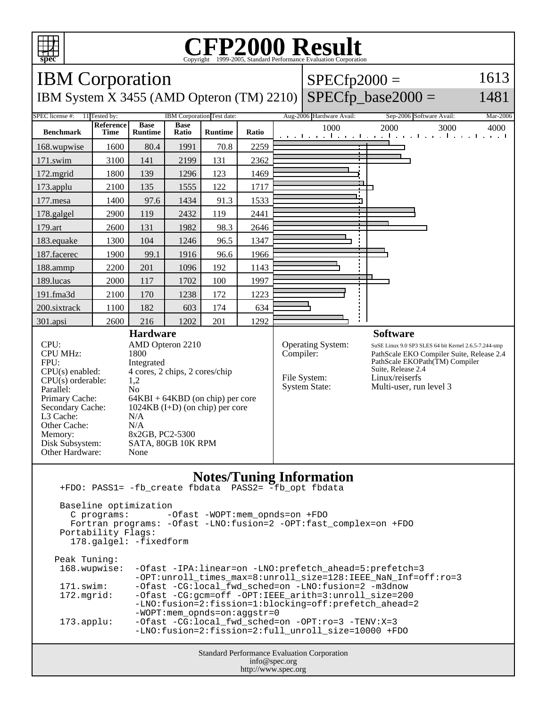

## C<sub>opyright</sub> ©1999-2005, Standard Performance Evaluation Corporation

| 1613<br><b>IBM</b> Corporation<br>$SPECfp2000 =$                                            |                                               |                                |                             |                          |                          |           |                                               |                                                                             |      |
|---------------------------------------------------------------------------------------------|-----------------------------------------------|--------------------------------|-----------------------------|--------------------------|--------------------------|-----------|-----------------------------------------------|-----------------------------------------------------------------------------|------|
| $SPECfp\_base2000 =$<br>1481<br>IBM System X 3455 (AMD Opteron (TM) 2210)                   |                                               |                                |                             |                          |                          |           |                                               |                                                                             |      |
| <b>SPEC</b> license #:                                                                      | 11 Tested by:                                 |                                | IBM Corporation Test date:  | Aug-2006 Hardware Avail: | Sep-2006 Software Avail: | Mar-2006  |                                               |                                                                             |      |
| <b>Benchmark</b>                                                                            | <b>Reference</b><br>Time                      | <b>Base</b><br><b>Runtime</b>  | <b>Base</b><br><b>Ratio</b> | <b>Runtime</b>           | Ratio                    |           | 1000<br>والمتحارب والمتحار والمتحاري والمتحار | 2000<br>3000<br>1 1 1 1                                                     | 4000 |
| 168.wupwise                                                                                 | 1600                                          | 80.4                           | 1991                        | 70.8                     | 2259                     |           |                                               |                                                                             |      |
| 171.swim                                                                                    | 3100                                          | 141                            | 2199                        | 131                      | 2362                     |           |                                               |                                                                             |      |
| 172.mgrid                                                                                   | 1800                                          | 139                            | 1296                        | 123                      | 1469                     |           |                                               |                                                                             |      |
| 173.applu                                                                                   | 2100                                          | 135                            | 1555                        | 122                      | 1717                     |           |                                               |                                                                             |      |
| 177.mesa                                                                                    | 1400                                          | 97.6                           | 1434                        | 91.3                     | 1533                     |           |                                               |                                                                             |      |
| 178.galgel                                                                                  | 2900                                          | 119                            | 2432                        | 119                      | 2441                     |           |                                               |                                                                             |      |
| 179.art                                                                                     | 2600                                          | 131                            | 1982                        | 98.3                     | 2646                     |           |                                               |                                                                             |      |
| 183.equake                                                                                  | 1300                                          | 104                            | 1246                        | 96.5                     | 1347                     |           |                                               |                                                                             |      |
| 187.facerec                                                                                 | 1900                                          | 99.1                           | 1916                        | 96.6                     | 1966                     |           |                                               |                                                                             |      |
| 188.ammp                                                                                    | 2200                                          | 201                            | 1096                        | 192                      | 1143                     |           |                                               |                                                                             |      |
| 189.lucas                                                                                   | 2000                                          | 117                            | 1702                        | 100                      | 1997                     |           |                                               |                                                                             |      |
| 191.fma3d                                                                                   | 2100                                          | 170                            | 1238                        | 172                      | 1223                     |           |                                               |                                                                             |      |
| 200.sixtrack                                                                                | 1100                                          | 182                            | 603                         | 174                      | 634                      |           |                                               |                                                                             |      |
| 301.apsi                                                                                    | 2600                                          | 216                            | 1202                        | 201                      | 1292                     |           |                                               |                                                                             |      |
| <b>Hardware</b>                                                                             |                                               |                                |                             |                          |                          |           |                                               | <b>Software</b>                                                             |      |
| CPI:<br>AMD Opteron 2210                                                                    |                                               |                                |                             |                          |                          |           | <b>Operating System:</b>                      | SuSE Linux 9.0 SP3 SLES 64 bit Kernel 2.6.5-7.244-smp                       |      |
| <b>CPU MHz:</b><br>FPU:                                                                     |                                               | 1800<br>Integrated             |                             |                          |                          | Compiler: |                                               | PathScale EKO Compiler Suite, Release 2.4<br>PathScale EKOPath(TM) Compiler |      |
| $CPU(s)$ enabled:                                                                           |                                               | 4 cores, 2 chips, 2 cores/chip |                             |                          |                          |           | File System:                                  | Suite, Release 2.4<br>Linux/reiserfs                                        |      |
| $CPU(s)$ orderable:<br>1,2<br>Parallel:<br>N <sub>0</sub>                                   |                                               |                                |                             |                          |                          |           | <b>System State:</b>                          | Multi-user, run level 3                                                     |      |
| Primary Cache:                                                                              |                                               |                                |                             |                          |                          |           |                                               |                                                                             |      |
| $64KBI + 64KBD$ (on chip) per core<br>Secondary Cache:<br>$1024KB$ (I+D) (on chip) per core |                                               |                                |                             |                          |                          |           |                                               |                                                                             |      |
| L3 Cache:<br>N/A                                                                            |                                               |                                |                             |                          |                          |           |                                               |                                                                             |      |
| Other Cache:<br>N/A<br>Memory:<br>8x2GB, PC2-5300                                           |                                               |                                |                             |                          |                          |           |                                               |                                                                             |      |
| Disk Subsystem:                                                                             |                                               |                                | SATA, 80GB 10K RPM          |                          |                          |           |                                               |                                                                             |      |
| Other Hardware:<br>None                                                                     |                                               |                                |                             |                          |                          |           |                                               |                                                                             |      |
|                                                                                             |                                               |                                |                             |                          |                          |           |                                               |                                                                             |      |
| <b>Notes/Tuning Information</b><br>+FDO: PASS1= -fb_create fbdata<br>PASS2= -fb_opt fbdata  |                                               |                                |                             |                          |                          |           |                                               |                                                                             |      |
| Baseline optimization                                                                       |                                               |                                |                             |                          |                          |           |                                               |                                                                             |      |
|                                                                                             | -Ofast -WOPT:mem opnds=on +FDO<br>C programs: |                                |                             |                          |                          |           |                                               |                                                                             |      |
| Fortran programs: - Ofast -LNO: fusion=2 - OPT: fast_complex=on +FDO                        |                                               |                                |                             |                          |                          |           |                                               |                                                                             |      |

 Portability Flags: 178.galgel: -fixedform

| Peak Tuning:        |                                                                   |
|---------------------|-------------------------------------------------------------------|
| 168.wupwise:        | -Ofast -IPA:linear=on -LNO:prefetch_ahead=5:prefetch=3            |
|                     | -OPT: unroll times max=8: unroll size=128: IEEE NaN Inf=off: ro=3 |
| 171.swim:           | -Ofast -CG:local fwd sched=on -LNO:fusion=2 -m3dnow               |
| 172.mqrid:          | -Ofast -CG:qcm=off -OPT:IEEE arith=3:unroll size=200              |
|                     | -LNO:fusion=2:fission=1:blocking=off:prefetch_ahead=2             |
|                     | $-WOPT:$ mem opnds=on:aqqstr=0                                    |
| $173.\text{applu}:$ | $-Ofast$ -CG:local fwd sched=on -OPT:ro=3 -TENV:X=3               |
|                     | -LNO:fusion=2:fission=2:full unroll size=10000 +FDO               |
|                     |                                                                   |

Standard Performance Evaluation Corporation info@spec.org http://www.spec.org